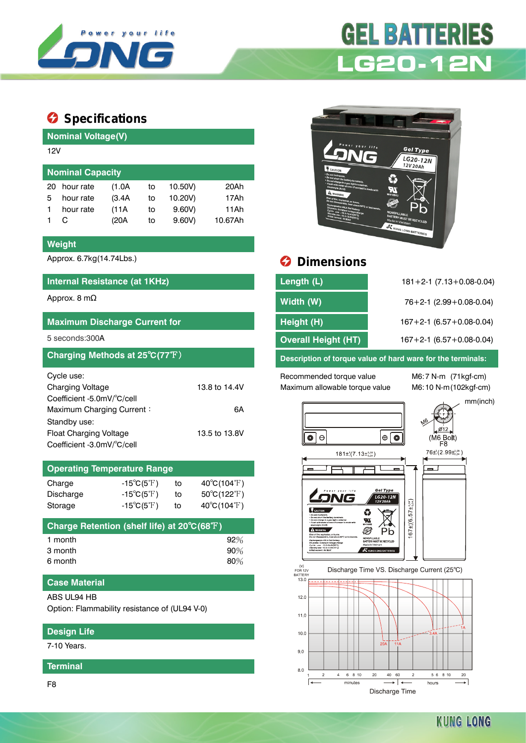

# **GEL BATTERIES LG20-12N**

## $\bullet$  Specifications

| <b>Nominal Voltage(V)</b> |           |        |    |         |         |  |  |  |  |
|---------------------------|-----------|--------|----|---------|---------|--|--|--|--|
| 12V                       |           |        |    |         |         |  |  |  |  |
| <b>Nominal Capacity</b>   |           |        |    |         |         |  |  |  |  |
| 20                        | hour rate | (1.0A  | to | 10.50V) | 20Ah    |  |  |  |  |
| 5                         | hour rate | (3.4A) | to | 10.20V) | 17Ah    |  |  |  |  |
|                           | hour rate | (11A   | to | 9.60V   | 11Ah    |  |  |  |  |
|                           | C         | (20A   | to | 9.60V   | 10.67Ah |  |  |  |  |
|                           |           |        |    |         |         |  |  |  |  |

#### **Weight**

#### **Internal Resistance (at 1KHz)**

#### **Maximum Discharge Current for**

| Charging Methods at 25°C(77°F) |               |
|--------------------------------|---------------|
| Cycle use:                     |               |
| <b>Charging Voltage</b>        | 13.8 to 14.4V |
| Coefficient -5.0mV/°C/cell     |               |
| Maximum Charging Current:      | 6А            |
| Standby use:                   |               |
| Float Charging Voltage         | 13.5 to 13.8V |
| Coefficient -3.0mV/°C/cell     |               |

### **Operating Temperature Range** Charge  $-15^{\circ}C(5^{\circ}F)$  to  $40^{\circ}C(104^{\circ}F)$ Discharge  $-15^{\circ}C(5^{\circ}F)$  to  $50^{\circ}C(122^{\circ}F)$

| $D$ <b>began Detection (ebelf <math>B = \{A, B\}</math>)</b> |                            |    |                                  |  |  |  |  |
|--------------------------------------------------------------|----------------------------|----|----------------------------------|--|--|--|--|
| Storage                                                      | $-15^{\circ}C(5^{\circ}F)$ | to | $40^{\circ}$ C(104 $^{\circ}$ F) |  |  |  |  |
|                                                              |                            |    |                                  |  |  |  |  |

| 92%    |
|--------|
| 90%    |
| $80\%$ |
|        |

#### **Case Material**

ABS UL94 HB

Option: Flammability resistance of (UL94 V-0)

#### **Design Life**

7-10 Years.

#### **Terminal**

F8



# Approx. 6.7kg(14.74Lbs.) **Dimensions**

| Internal Resistance (at 1KHz)                                                                                                                                                                                                        | Length (L)                 | $181 + 2 - 1$ (7.13 + 0.08 - 0.04) |
|--------------------------------------------------------------------------------------------------------------------------------------------------------------------------------------------------------------------------------------|----------------------------|------------------------------------|
| Approx. 8 m $\Omega$                                                                                                                                                                                                                 | Width (W)                  | $76+2-1$ (2.99 + 0.08-0.04)        |
| <b>Maximum Discharge Current for</b>                                                                                                                                                                                                 | Height (H)                 | $167 + 2 - 1$ (6.57 + 0.08 - 0.04) |
| 5 seconds:300 <b>A</b>                                                                                                                                                                                                               | <b>Overall Height (HT)</b> | $167 + 2 - 1$ (6.57 + 0.08 - 0.04) |
| <u>in the contract of the contract of the contract of the contract of the contract of the contract of the contract of the contract of the contract of the contract of the contract of the contract of the contract of the contra</u> |                            |                                    |

**Description of torque value of hard ware for the terminals:** 

Recommended torque value M6:7 N-m (71kgf-cm) Maximum allowable torque value M6:10 N-m(102kgf-cm)